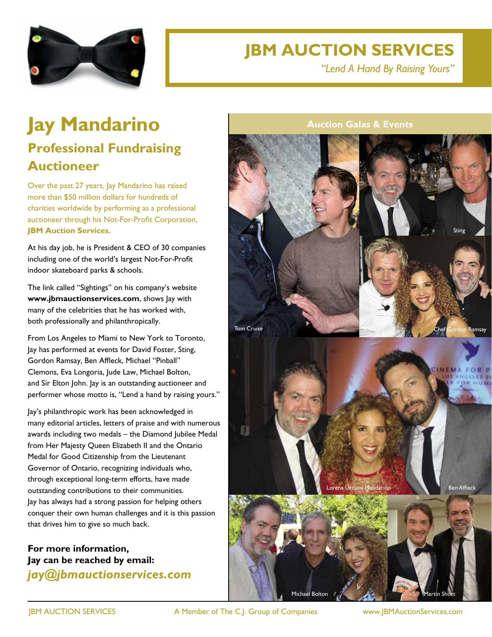

## **JBM AUCTION SERVICES**

*"Lend A Hand By Raising Yours"*

## **Jay Mandarino Professional Fundraising**

## **Auctioneer**

Over the past 27 years, Jay Mandarino has raised more than \$50 million dollars for hundreds of charities worldwide by performing as a professional auctioneer through his Not-For-Profit Corporation, **JBM Auction Services.**

At his day job, he is President & CEO of 30 companies including one of the world's largest Not-For-Profit indoor skateboard parks & schools.

The link called "Sightings" on his company's website **www.jbmauctionservices.com**, shows Jay with many of the celebrities that he has worked with, both professionally and philanthropically.

From Los Angeles to Miami to New York to Toronto, Jay has performed at events for David Foster, Sting, Gordon Ramsay, Ben Affleck, Michael "Pinball" Clemons, Eva Longoria, Jude Law, Michael Bolton, and Sir Elton John. Jay is an outstanding auctioneer and performer whose motto is, "Lend a hand by raising yours."

Jay's philanthropic work has been acknowledged in many editorial articles, letters of praise and with numerous awards including two medals – the Diamond Jubilee Medal from Her Majesty Queen Elizabeth II and the Ontario Medal for Good Citizenship from the Lieutenant Governor of Ontario, recognizing individuals who, through exceptional long-term efforts, have made outstanding contributions to their communities. Jay has always had a strong passion for helping others conquer their own human challenges and it is this passion that drives him to give so much back.

**For more information, Jay can be reached by email:** *jay@jbmauctionservices.com* **Auction Galas & Events**



JBM AUCTION SERVICES A Member of The C.J. Group of Companies www.JBMAuctionServices.com